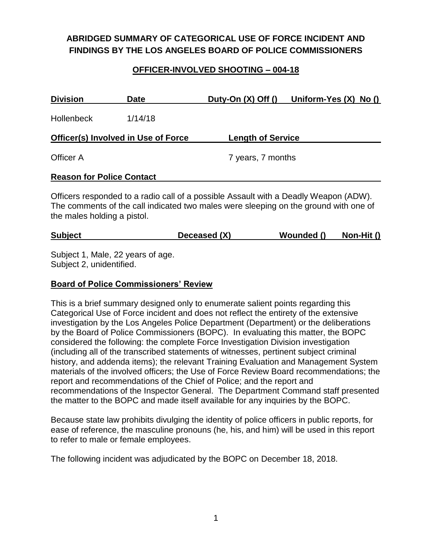# **ABRIDGED SUMMARY OF CATEGORICAL USE OF FORCE INCIDENT AND FINDINGS BY THE LOS ANGELES BOARD OF POLICE COMMISSIONERS**

### **OFFICER-INVOLVED SHOOTING – 004-18**

| <b>Division</b>                     | <b>Date</b> |                                                                                                                                     | Duty-On $(X)$ Off $()$ Uniform-Yes $(X)$ No $()$ |
|-------------------------------------|-------------|-------------------------------------------------------------------------------------------------------------------------------------|--------------------------------------------------|
| <b>Hollenbeck</b>                   | 1/14/18     |                                                                                                                                     |                                                  |
| Officer(s) Involved in Use of Force |             | <b>Length of Service</b>                                                                                                            |                                                  |
| Officer A                           |             | 7 years, 7 months                                                                                                                   |                                                  |
| <b>Reason for Police Contact</b>    |             |                                                                                                                                     |                                                  |
| $\sim$                              |             | $\mathbf{u}$ and $\mathbf{u}$ are $\mathbf{u}$ and $\mathbf{u}$ and $\mathbf{u}$ are $\mathbf{u}$ and $\mathbf{u}$ are $\mathbf{u}$ |                                                  |

Officers responded to a radio call of a possible Assault with a Deadly Weapon (ADW). The comments of the call indicated two males were sleeping on the ground with one of the males holding a pistol.

| Deceased (X)   | Non-Hit $()$ |
|----------------|--------------|
| <b>Subject</b> | Wounded ()   |

Subject 1, Male, 22 years of age. Subject 2, unidentified.

#### **Board of Police Commissioners' Review**

This is a brief summary designed only to enumerate salient points regarding this Categorical Use of Force incident and does not reflect the entirety of the extensive investigation by the Los Angeles Police Department (Department) or the deliberations by the Board of Police Commissioners (BOPC). In evaluating this matter, the BOPC considered the following: the complete Force Investigation Division investigation (including all of the transcribed statements of witnesses, pertinent subject criminal history, and addenda items); the relevant Training Evaluation and Management System materials of the involved officers; the Use of Force Review Board recommendations; the report and recommendations of the Chief of Police; and the report and recommendations of the Inspector General. The Department Command staff presented the matter to the BOPC and made itself available for any inquiries by the BOPC.

Because state law prohibits divulging the identity of police officers in public reports, for ease of reference, the masculine pronouns (he, his, and him) will be used in this report to refer to male or female employees.

The following incident was adjudicated by the BOPC on December 18, 2018.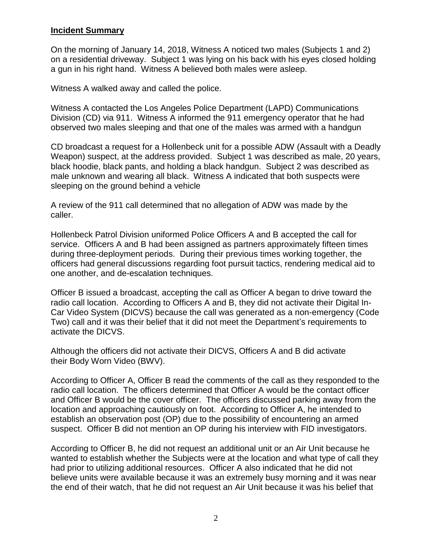#### **Incident Summary**

On the morning of January 14, 2018, Witness A noticed two males (Subjects 1 and 2) on a residential driveway. Subject 1 was lying on his back with his eyes closed holding a gun in his right hand. Witness A believed both males were asleep.

Witness A walked away and called the police.

Witness A contacted the Los Angeles Police Department (LAPD) Communications Division (CD) via 911. Witness A informed the 911 emergency operator that he had observed two males sleeping and that one of the males was armed with a handgun

CD broadcast a request for a Hollenbeck unit for a possible ADW (Assault with a Deadly Weapon) suspect, at the address provided. Subject 1 was described as male, 20 years, black hoodie, black pants, and holding a black handgun. Subject 2 was described as male unknown and wearing all black. Witness A indicated that both suspects were sleeping on the ground behind a vehicle

A review of the 911 call determined that no allegation of ADW was made by the caller.

Hollenbeck Patrol Division uniformed Police Officers A and B accepted the call for service. Officers A and B had been assigned as partners approximately fifteen times during three-deployment periods. During their previous times working together, the officers had general discussions regarding foot pursuit tactics, rendering medical aid to one another, and de-escalation techniques.

Officer B issued a broadcast, accepting the call as Officer A began to drive toward the radio call location. According to Officers A and B, they did not activate their Digital In-Car Video System (DICVS) because the call was generated as a non-emergency (Code Two) call and it was their belief that it did not meet the Department's requirements to activate the DICVS.

Although the officers did not activate their DICVS, Officers A and B did activate their Body Worn Video (BWV).

According to Officer A, Officer B read the comments of the call as they responded to the radio call location. The officers determined that Officer A would be the contact officer and Officer B would be the cover officer. The officers discussed parking away from the location and approaching cautiously on foot. According to Officer A, he intended to establish an observation post (OP) due to the possibility of encountering an armed suspect. Officer B did not mention an OP during his interview with FID investigators.

According to Officer B, he did not request an additional unit or an Air Unit because he wanted to establish whether the Subjects were at the location and what type of call they had prior to utilizing additional resources. Officer A also indicated that he did not believe units were available because it was an extremely busy morning and it was near the end of their watch, that he did not request an Air Unit because it was his belief that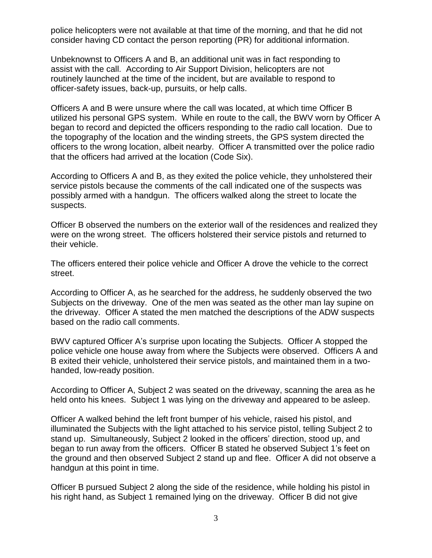police helicopters were not available at that time of the morning, and that he did not consider having CD contact the person reporting (PR) for additional information.

Unbeknownst to Officers A and B, an additional unit was in fact responding to assist with the call. According to Air Support Division, helicopters are not routinely launched at the time of the incident, but are available to respond to officer-safety issues, back-up, pursuits, or help calls.

Officers A and B were unsure where the call was located, at which time Officer B utilized his personal GPS system. While en route to the call, the BWV worn by Officer A began to record and depicted the officers responding to the radio call location. Due to the topography of the location and the winding streets, the GPS system directed the officers to the wrong location, albeit nearby. Officer A transmitted over the police radio that the officers had arrived at the location (Code Six).

According to Officers A and B, as they exited the police vehicle, they unholstered their service pistols because the comments of the call indicated one of the suspects was possibly armed with a handgun. The officers walked along the street to locate the suspects.

Officer B observed the numbers on the exterior wall of the residences and realized they were on the wrong street. The officers holstered their service pistols and returned to their vehicle.

The officers entered their police vehicle and Officer A drove the vehicle to the correct street.

According to Officer A, as he searched for the address, he suddenly observed the two Subjects on the driveway. One of the men was seated as the other man lay supine on the driveway. Officer A stated the men matched the descriptions of the ADW suspects based on the radio call comments.

BWV captured Officer A's surprise upon locating the Subjects. Officer A stopped the police vehicle one house away from where the Subjects were observed. Officers A and B exited their vehicle, unholstered their service pistols, and maintained them in a twohanded, low-ready position.

According to Officer A, Subject 2 was seated on the driveway, scanning the area as he held onto his knees. Subject 1 was lying on the driveway and appeared to be asleep.

Officer A walked behind the left front bumper of his vehicle, raised his pistol, and illuminated the Subjects with the light attached to his service pistol, telling Subject 2 to stand up. Simultaneously, Subject 2 looked in the officers' direction, stood up, and began to run away from the officers. Officer B stated he observed Subject 1's feet on the ground and then observed Subject 2 stand up and flee. Officer A did not observe a handgun at this point in time.

Officer B pursued Subject 2 along the side of the residence, while holding his pistol in his right hand, as Subject 1 remained lying on the driveway. Officer B did not give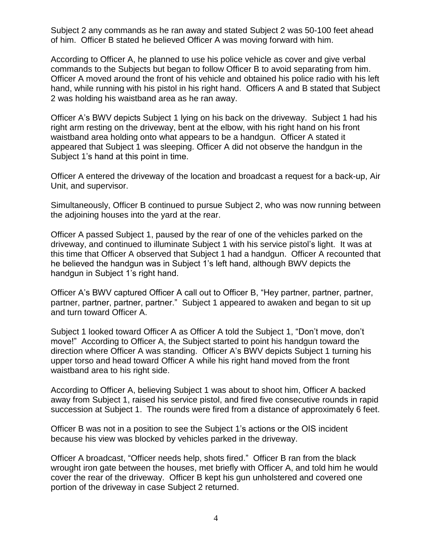Subject 2 any commands as he ran away and stated Subject 2 was 50-100 feet ahead of him. Officer B stated he believed Officer A was moving forward with him.

According to Officer A, he planned to use his police vehicle as cover and give verbal commands to the Subjects but began to follow Officer B to avoid separating from him. Officer A moved around the front of his vehicle and obtained his police radio with his left hand, while running with his pistol in his right hand. Officers A and B stated that Subject 2 was holding his waistband area as he ran away.

Officer A's BWV depicts Subject 1 lying on his back on the driveway. Subject 1 had his right arm resting on the driveway, bent at the elbow, with his right hand on his front waistband area holding onto what appears to be a handgun. Officer A stated it appeared that Subject 1 was sleeping. Officer A did not observe the handgun in the Subject 1's hand at this point in time.

Officer A entered the driveway of the location and broadcast a request for a back-up, Air Unit, and supervisor.

Simultaneously, Officer B continued to pursue Subject 2, who was now running between the adjoining houses into the yard at the rear.

Officer A passed Subject 1, paused by the rear of one of the vehicles parked on the driveway, and continued to illuminate Subject 1 with his service pistol's light. It was at this time that Officer A observed that Subject 1 had a handgun. Officer A recounted that he believed the handgun was in Subject 1's left hand, although BWV depicts the handgun in Subject 1's right hand.

Officer A's BWV captured Officer A call out to Officer B, "Hey partner, partner, partner, partner, partner, partner, partner." Subject 1 appeared to awaken and began to sit up and turn toward Officer A.

Subject 1 looked toward Officer A as Officer A told the Subject 1, "Don't move, don't move!" According to Officer A, the Subject started to point his handgun toward the direction where Officer A was standing. Officer A's BWV depicts Subject 1 turning his upper torso and head toward Officer A while his right hand moved from the front waistband area to his right side.

According to Officer A, believing Subject 1 was about to shoot him, Officer A backed away from Subject 1, raised his service pistol, and fired five consecutive rounds in rapid succession at Subject 1. The rounds were fired from a distance of approximately 6 feet.

Officer B was not in a position to see the Subject 1's actions or the OIS incident because his view was blocked by vehicles parked in the driveway.

Officer A broadcast, "Officer needs help, shots fired." Officer B ran from the black wrought iron gate between the houses, met briefly with Officer A, and told him he would cover the rear of the driveway. Officer B kept his gun unholstered and covered one portion of the driveway in case Subject 2 returned.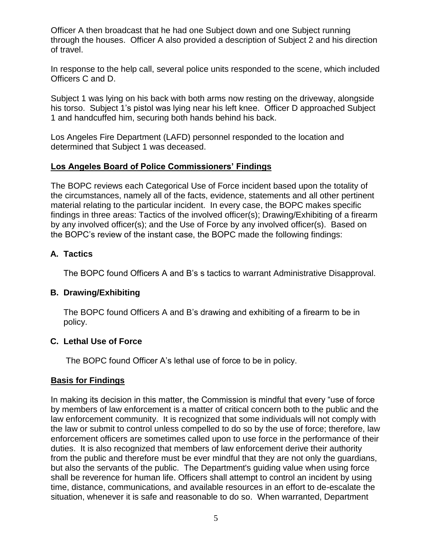Officer A then broadcast that he had one Subject down and one Subject running through the houses. Officer A also provided a description of Subject 2 and his direction of travel.

In response to the help call, several police units responded to the scene, which included Officers C and D.

Subject 1 was lying on his back with both arms now resting on the driveway, alongside his torso. Subject 1's pistol was lying near his left knee. Officer D approached Subject 1 and handcuffed him, securing both hands behind his back.

Los Angeles Fire Department (LAFD) personnel responded to the location and determined that Subject 1 was deceased.

#### **Los Angeles Board of Police Commissioners' Findings**

The BOPC reviews each Categorical Use of Force incident based upon the totality of the circumstances, namely all of the facts, evidence, statements and all other pertinent material relating to the particular incident. In every case, the BOPC makes specific findings in three areas: Tactics of the involved officer(s); Drawing/Exhibiting of a firearm by any involved officer(s); and the Use of Force by any involved officer(s). Based on the BOPC's review of the instant case, the BOPC made the following findings:

### **A. Tactics**

The BOPC found Officers A and B's s tactics to warrant Administrative Disapproval.

### **B. Drawing/Exhibiting**

The BOPC found Officers A and B's drawing and exhibiting of a firearm to be in policy.

### **C. Lethal Use of Force**

The BOPC found Officer A's lethal use of force to be in policy.

### **Basis for Findings**

In making its decision in this matter, the Commission is mindful that every "use of force by members of law enforcement is a matter of critical concern both to the public and the law enforcement community. It is recognized that some individuals will not comply with the law or submit to control unless compelled to do so by the use of force; therefore, law enforcement officers are sometimes called upon to use force in the performance of their duties. It is also recognized that members of law enforcement derive their authority from the public and therefore must be ever mindful that they are not only the guardians, but also the servants of the public. The Department's guiding value when using force shall be reverence for human life. Officers shall attempt to control an incident by using time, distance, communications, and available resources in an effort to de-escalate the situation, whenever it is safe and reasonable to do so. When warranted, Department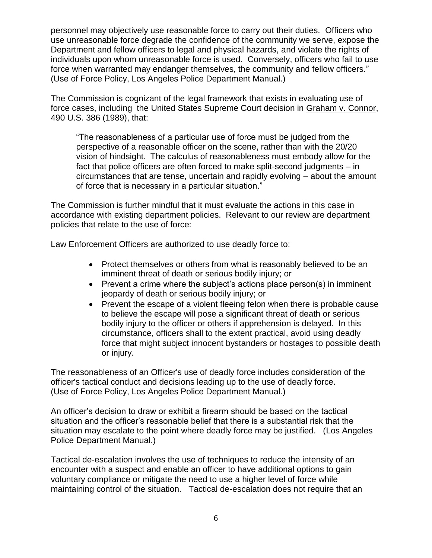personnel may objectively use reasonable force to carry out their duties. Officers who use unreasonable force degrade the confidence of the community we serve, expose the Department and fellow officers to legal and physical hazards, and violate the rights of individuals upon whom unreasonable force is used. Conversely, officers who fail to use force when warranted may endanger themselves, the community and fellow officers." (Use of Force Policy, Los Angeles Police Department Manual.)

The Commission is cognizant of the legal framework that exists in evaluating use of force cases, including the United States Supreme Court decision in Graham v. Connor, 490 U.S. 386 (1989), that:

"The reasonableness of a particular use of force must be judged from the perspective of a reasonable officer on the scene, rather than with the 20/20 vision of hindsight. The calculus of reasonableness must embody allow for the fact that police officers are often forced to make split-second judgments – in circumstances that are tense, uncertain and rapidly evolving – about the amount of force that is necessary in a particular situation."

The Commission is further mindful that it must evaluate the actions in this case in accordance with existing department policies. Relevant to our review are department policies that relate to the use of force:

Law Enforcement Officers are authorized to use deadly force to:

- Protect themselves or others from what is reasonably believed to be an imminent threat of death or serious bodily injury; or
- Prevent a crime where the subject's actions place person(s) in imminent jeopardy of death or serious bodily injury; or
- Prevent the escape of a violent fleeing felon when there is probable cause to believe the escape will pose a significant threat of death or serious bodily injury to the officer or others if apprehension is delayed. In this circumstance, officers shall to the extent practical, avoid using deadly force that might subject innocent bystanders or hostages to possible death or injury.

The reasonableness of an Officer's use of deadly force includes consideration of the officer's tactical conduct and decisions leading up to the use of deadly force. (Use of Force Policy, Los Angeles Police Department Manual.)

An officer's decision to draw or exhibit a firearm should be based on the tactical situation and the officer's reasonable belief that there is a substantial risk that the situation may escalate to the point where deadly force may be justified. (Los Angeles Police Department Manual.)

Tactical de-escalation involves the use of techniques to reduce the intensity of an encounter with a suspect and enable an officer to have additional options to gain voluntary compliance or mitigate the need to use a higher level of force while maintaining control of the situation. Tactical de-escalation does not require that an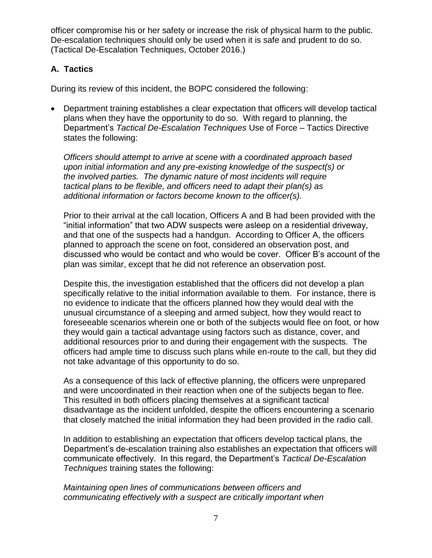officer compromise his or her safety or increase the risk of physical harm to the public. De-escalation techniques should only be used when it is safe and prudent to do so. (Tactical De-Escalation Techniques, October 2016.)

## **A. Tactics**

During its review of this incident, the BOPC considered the following:

• Department training establishes a clear expectation that officers will develop tactical plans when they have the opportunity to do so. With regard to planning, the Department's *Tactical De-Escalation Techniques* Use of Force – Tactics Directive states the following:

*Officers should attempt to arrive at scene with a coordinated approach based upon initial information and any pre-existing knowledge of the suspect(s) or the involved parties. The dynamic nature of most incidents will require tactical plans to be flexible, and officers need to adapt their plan(s) as additional information or factors become known to the officer(s).* 

Prior to their arrival at the call location, Officers A and B had been provided with the "initial information" that two ADW suspects were asleep on a residential driveway, and that one of the suspects had a handgun. According to Officer A, the officers planned to approach the scene on foot, considered an observation post, and discussed who would be contact and who would be cover. Officer B's account of the plan was similar, except that he did not reference an observation post.

Despite this, the investigation established that the officers did not develop a plan specifically relative to the initial information available to them. For instance, there is no evidence to indicate that the officers planned how they would deal with the unusual circumstance of a sleeping and armed subject, how they would react to foreseeable scenarios wherein one or both of the subjects would flee on foot, or how they would gain a tactical advantage using factors such as distance, cover, and additional resources prior to and during their engagement with the suspects. The officers had ample time to discuss such plans while en-route to the call, but they did not take advantage of this opportunity to do so.

As a consequence of this lack of effective planning, the officers were unprepared and were uncoordinated in their reaction when one of the subjects began to flee. This resulted in both officers placing themselves at a significant tactical disadvantage as the incident unfolded, despite the officers encountering a scenario that closely matched the initial information they had been provided in the radio call.

In addition to establishing an expectation that officers develop tactical plans, the Department's de-escalation training also establishes an expectation that officers will communicate effectively. In this regard, the Department's *Tactical De-Escalation Techniques* training states the following:

*Maintaining open lines of communications between officers and communicating effectively with a suspect are critically important when*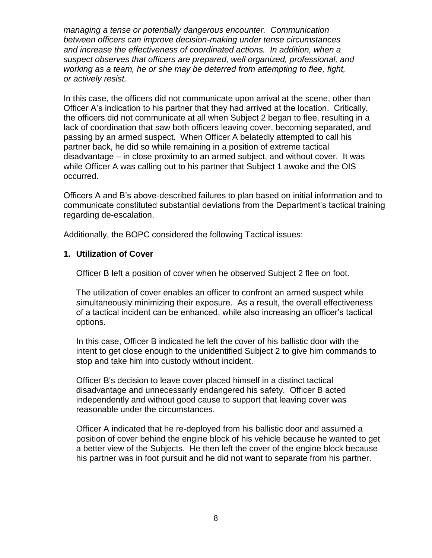*managing a tense or potentially dangerous encounter. Communication between officers can improve decision-making under tense circumstances and increase the effectiveness of coordinated actions. In addition, when a suspect observes that officers are prepared, well organized, professional, and working as a team, he or she may be deterred from attempting to flee, fight, or actively resist.* 

In this case, the officers did not communicate upon arrival at the scene, other than Officer A's indication to his partner that they had arrived at the location. Critically, the officers did not communicate at all when Subject 2 began to flee, resulting in a lack of coordination that saw both officers leaving cover, becoming separated, and passing by an armed suspect. When Officer A belatedly attempted to call his partner back, he did so while remaining in a position of extreme tactical disadvantage – in close proximity to an armed subject, and without cover. It was while Officer A was calling out to his partner that Subject 1 awoke and the OIS occurred.

Officers A and B's above-described failures to plan based on initial information and to communicate constituted substantial deviations from the Department's tactical training regarding de-escalation.

Additionally, the BOPC considered the following Tactical issues:

#### **1. Utilization of Cover**

Officer B left a position of cover when he observed Subject 2 flee on foot.

The utilization of cover enables an officer to confront an armed suspect while simultaneously minimizing their exposure. As a result, the overall effectiveness of a tactical incident can be enhanced, while also increasing an officer's tactical options.

In this case, Officer B indicated he left the cover of his ballistic door with the intent to get close enough to the unidentified Subject 2 to give him commands to stop and take him into custody without incident.

Officer B's decision to leave cover placed himself in a distinct tactical disadvantage and unnecessarily endangered his safety. Officer B acted independently and without good cause to support that leaving cover was reasonable under the circumstances.

Officer A indicated that he re-deployed from his ballistic door and assumed a position of cover behind the engine block of his vehicle because he wanted to get a better view of the Subjects. He then left the cover of the engine block because his partner was in foot pursuit and he did not want to separate from his partner.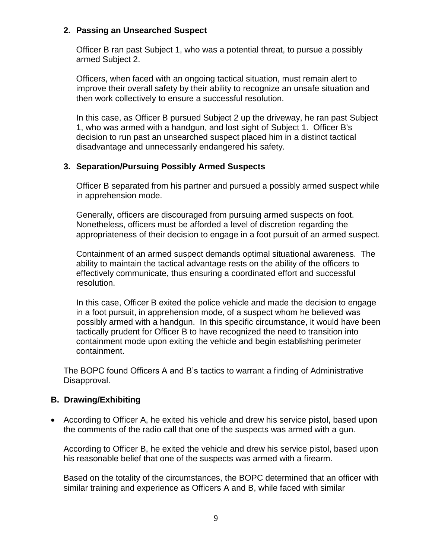### **2. Passing an Unsearched Suspect**

Officer B ran past Subject 1, who was a potential threat, to pursue a possibly armed Subject 2.

Officers, when faced with an ongoing tactical situation, must remain alert to improve their overall safety by their ability to recognize an unsafe situation and then work collectively to ensure a successful resolution.

In this case, as Officer B pursued Subject 2 up the driveway, he ran past Subject 1, who was armed with a handgun, and lost sight of Subject 1. Officer B's decision to run past an unsearched suspect placed him in a distinct tactical disadvantage and unnecessarily endangered his safety.

### **3. Separation/Pursuing Possibly Armed Suspects**

Officer B separated from his partner and pursued a possibly armed suspect while in apprehension mode.

Generally, officers are discouraged from pursuing armed suspects on foot. Nonetheless, officers must be afforded a level of discretion regarding the appropriateness of their decision to engage in a foot pursuit of an armed suspect.

Containment of an armed suspect demands optimal situational awareness. The ability to maintain the tactical advantage rests on the ability of the officers to effectively communicate, thus ensuring a coordinated effort and successful resolution.

In this case, Officer B exited the police vehicle and made the decision to engage in a foot pursuit, in apprehension mode, of a suspect whom he believed was possibly armed with a handgun. In this specific circumstance, it would have been tactically prudent for Officer B to have recognized the need to transition into containment mode upon exiting the vehicle and begin establishing perimeter containment.

The BOPC found Officers A and B's tactics to warrant a finding of Administrative Disapproval.

### **B. Drawing/Exhibiting**

• According to Officer A, he exited his vehicle and drew his service pistol, based upon the comments of the radio call that one of the suspects was armed with a gun.

According to Officer B, he exited the vehicle and drew his service pistol, based upon his reasonable belief that one of the suspects was armed with a firearm.

Based on the totality of the circumstances, the BOPC determined that an officer with similar training and experience as Officers A and B, while faced with similar